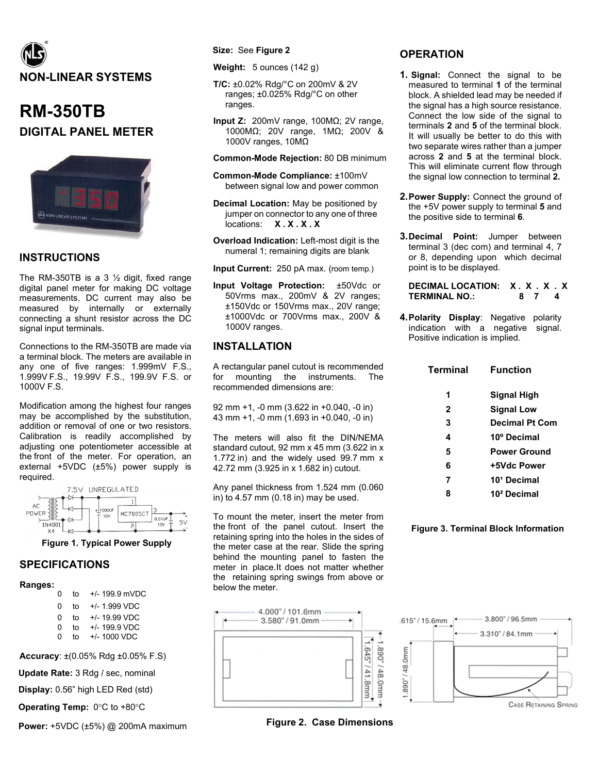

# **RM-350TB DIGITAL PANEL METER**



## **INSTRUCTIONS**

The RM-350TB is a 3  $\frac{1}{2}$  digit, fixed range digital panel meter for making DC voltage measurements. DC current may also be measured by internally or externally connecting a shunt resistor across the DC signal input terminals.

Connections to the RM-350TB are made via a terminal block. The meters are available in any one of five ranges: 1.999mV F.S., 1.999V F.S., 19.99V F.S., 199.9V F.S. or 1000V F.S.

Modification among the highest four ranges may be accomplished by the substitution, addition or removal of one or two resistors. Calibration is readily accomplished by adjusting one potentiometer accessible at the front of the meter. For operation, an external +5VDC (±5%) power supply is required.



**Figure 1. Typical Power Supply** 

### **SPECIFICATIONS**

**Ranges:**

| 0 | t٥ | +/- 199.9 mVDC  |
|---|----|-----------------|
| ŋ | t٥ | $+/- 1$ 999 VDC |
| ŋ | t٥ | $+/- 19.99$ VDC |
| 0 | t٥ | +/- 199.9 VDC   |
| U | t٥ | $+/- 1000 VDC$  |

**Accuracy**: ±(0.05% Rdg ±0.05% F.S)

**Update Rate:** 3 Rdg / sec, nominal

**Display:** 0.56" high LED Red (std)

**Operating Temp:** 0°C to +80°C

**Power:** +5VDC (±5%) @ 200mA maximum

#### **Size:** See **Figure 2**

**Weight:** 5 ounces (142 g)

- **T/C:** ±0.02% Rdg/°C on 200mV & 2V ranges; ±0.025% Rdg/°C on other ranges.
- **Input Z:** 200mV range, 100MΩ; 2V range, 1000MΩ; 20V range, 1MΩ; 200V & 1000V ranges, 10MΩ

**Common-Mode Rejection:** 80 DB minimum

- **Common-Mode Compliance:** ±100mV between signal low and power common
- **Decimal Location:** May be positioned by jumper on connector to any one of three locations: **X . X . X . X**
- **Overload Indication:** Left-most digit is the numeral 1; remaining digits are blank

**Input Current:** 250 pA max. (room temp.)

**Input Voltage Protection:** ±50Vdc or 50Vrms max., 200mV & 2V ranges; ±150Vdc or 150Vrms max., 20V range; ±1000Vdc or 700Vrms max., 200V & 1000V ranges.

# **INSTALLATION**

A rectangular panel cutout is recommended for mounting the instruments. The recommended dimensions are:

92 mm +1, -0 mm (3.622 in +0.040, -0 in) 43 mm +1, -0 mm (1.693 in +0.040, -0 in)

The meters will also fit the DIN/NEMA standard cutout, 92 mm x 45 mm (3.622 in x 1.772 in) and the widely used 99.7 mm x 42.72 mm (3.925 in x 1.682 in) cutout.

Any panel thickness from 1.524 mm (0.060 in) to 4.57 mm (0.18 in) may be used.

To mount the meter, insert the meter from the front of the panel cutout. Insert the retaining spring into the holes in the sides of the meter case at the rear. Slide the spring behind the mounting panel to fasten the meter in place.It does not matter whether the retaining spring swings from above or below the meter.



**Figure 2. Case Dimensions**

# **OPERATION**

- **1. Signal:** Connect the signal to be measured to terminal **1** of the terminal block. A shielded lead may be needed if the signal has a high source resistance. Connect the low side of the signal to terminals **2** and **5** of the terminal block. It will usually be better to do this with two separate wires rather than a jumper across **2** and **5** at the terminal block. This will eliminate current flow through the signal low connection to terminal **2.**
- **2.Power Supply:** Connect the ground of the +5V power supply to terminal **5** and the positive side to terminal **6**.
- **3.Decimal Point:** Jumper between terminal 3 (dec com) and terminal 4, 7 or 8, depending upon which decimal point is to be displayed.

**DECIMAL LOCATION: X . X . X . X TERMINAL NO.: 8 7 4**

**4.Polarity Display**: Negative polarity indication with a negative signal. Positive indication is implied.

| <b>Terminal</b> | <b>Function</b>         |
|-----------------|-------------------------|
| 1               | <b>Signal High</b>      |
| 2               | <b>Signal Low</b>       |
| 3               | <b>Decimal Pt Com</b>   |
| 4               | 10º Decimal             |
| 5               | <b>Power Ground</b>     |
| 6               | +5Vdc Power             |
| 7               | 10 <sup>1</sup> Decimal |
| 8               | 10 <sup>2</sup> Decimal |
|                 |                         |

#### **Figure 3. Terminal Block Information**